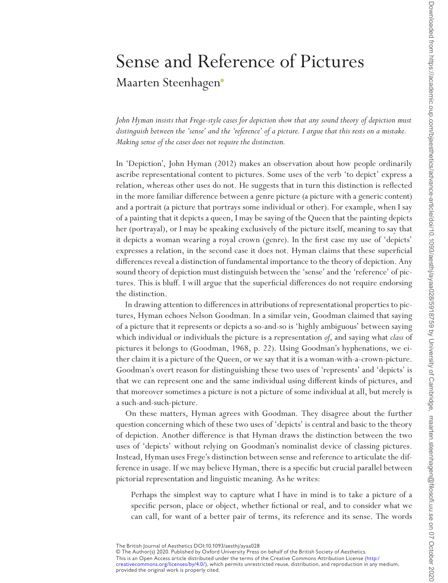## Sense and Reference of Pictures Maarten Steenhage[n](http://orcid.org/0000-0002-7192-8442)

*John Hyman insists that Frege-style cases for depiction show that any sound theory of depiction must distinguish between the 'sense' and the 'reference' of a picture. I argue that this rests on a mistake. Making sense of the cases does not require the distinction.*

In 'Depiction', John Hyman (2012) makes an observation about how people ordinarily ascribe representational content to pictures. Some uses of the verb 'to depict' express a relation, whereas other uses do not. He suggests that in turn this distinction is reflected in the more familiar difference between a genre picture (a picture with a generic content) and a portrait (a picture that portrays some individual or other). For example, when I say of a painting that it depicts a queen, I may be saying of the Queen that the painting depicts her (portrayal), or I may be speaking exclusively of the picture itself, meaning to say that it depicts a woman wearing a royal crown (genre). In the first case my use of 'depicts' expresses a relation, in the second case it does not. Hyman claims that these superficial differences reveal a distinction of fundamental importance to the theory of depiction. Any sound theory of depiction must distinguish between the 'sense' and the 'reference' of pictures. This is bluff. I will argue that the superficial differences do not require endorsing the distinction.

In drawing attention to differences in attributions of representational properties to pictures, Hyman echoes Nelson Goodman. In a similar vein, Goodman claimed that saying of a picture that it represents or depicts a so-and-so is 'highly ambiguous' between saying which individual or individuals the picture is a representation *of*, and saying what *class* of pictures it belongs to (Goodman, 1968, p. 22). Using Goodman's hyphenations, we either claim it is a picture of the Queen, or we say that it is a woman-with-a-crown-picture. Goodman's overt reason for distinguishing these two uses of 'represents' and 'depicts' is that we can represent one and the same individual using different kinds of pictures, and that moreover sometimes a picture is not a picture of some individual at all, but merely is a such-and-such-picture.

On these matters, Hyman agrees with Goodman. They disagree about the further question concerning which of these two uses of 'depicts' is central and basic to the theory of depiction. Another difference is that Hyman draws the distinction between the two uses of 'depicts' without relying on Goodman's nominalist device of classing pictures. Instead, Hyman uses Frege's distinction between sense and reference to articulate the difference in usage. If we may believe Hyman, there is a specific but crucial parallel between pictorial representation and linguistic meaning. As he writes:

Perhaps the simplest way to capture what I have in mind is to take a picture of a specific person, place or object, whether fictional or real, and to consider what we can call, for want of a better pair of terms, its reference and its sense. The words

© The Author(s) 2020. Published by Oxford University Press on behalf of the British Society of Aesthetics.

The British Journal of Aesthetics DOI:10.1093/aesthj/ayaa028

This is an Open Access article distributed under the terms of the Creative Commons Attribution License ([http:/](http:/creativecommons.org/licenses/by/4.0/) [creativecommons.org/licenses/by/4.0/](http:/creativecommons.org/licenses/by/4.0/)), which permits unrestricted reuse, distribution, and reproduction in any medium,<br>provided the original work is properly cited.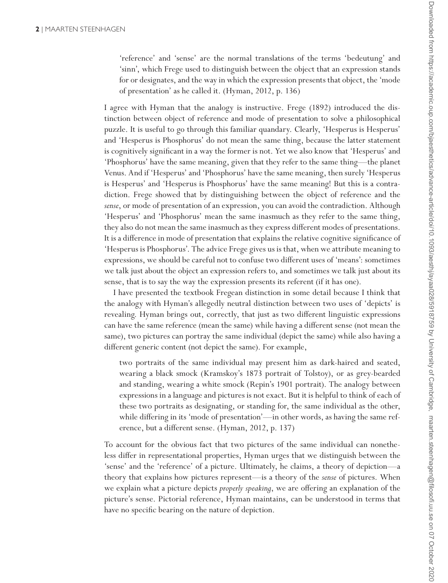'reference' and 'sense' are the normal translations of the terms 'bedeutung' and 'sinn', which Frege used to distinguish between the object that an expression stands for or designates, and the way in which the expression presents that object, the 'mode of presentation' as he called it. (Hyman, 2012, p. 136)

I agree with Hyman that the analogy is instructive. Frege (1892) introduced the distinction between object of reference and mode of presentation to solve a philosophical puzzle. It is useful to go through this familiar quandary. Clearly, 'Hesperus is Hesperus' and 'Hesperus is Phosphorus' do not mean the same thing, because the latter statement is cognitively significant in a way the former is not. Yet we also know that 'Hesperus' and 'Phosphorus' have the same meaning, given that they refer to the same thing—the planet Venus. And if 'Hesperus' and 'Phosphorus' have the same meaning, then surely 'Hesperus is Hesperus' and 'Hesperus is Phosphorus' have the same meaning! But this is a contradiction. Frege showed that by distinguishing between the object of reference and the *sense*, or mode of presentation of an expression, you can avoid the contradiction. Although 'Hesperus' and 'Phosphorus' mean the same inasmuch as they refer to the same thing, they also do not mean the same inasmuch as they express different modes of presentations. It is a difference in mode of presentation that explains the relative cognitive significance of 'Hesperus is Phosphorus'. The advice Frege gives us is that, when we attribute meaning to expressions, we should be careful not to confuse two different uses of 'means': sometimes we talk just about the object an expression refers to, and sometimes we talk just about its sense, that is to say the way the expression presents its referent (if it has one).

I have presented the textbook Fregean distinction in some detail because I think that the analogy with Hyman's allegedly neutral distinction between two uses of 'depicts' is revealing. Hyman brings out, correctly, that just as two different linguistic expressions can have the same reference (mean the same) while having a different sense (not mean the same), two pictures can portray the same individual (depict the same) while also having a different generic content (not depict the same). For example,

two portraits of the same individual may present him as dark-haired and seated, wearing a black smock (Kramskoy's 1873 portrait of Tolstoy), or as grey-bearded and standing, wearing a white smock (Repin's 1901 portrait). The analogy between expressions in a language and pictures is not exact. But it is helpful to think of each of these two portraits as designating, or standing for, the same individual as the other, while differing in its 'mode of presentation'—in other words, as having the same reference, but a different sense. (Hyman, 2012, p. 137)

To account for the obvious fact that two pictures of the same individual can nonetheless differ in representational properties, Hyman urges that we distinguish between the 'sense' and the 'reference' of a picture. Ultimately, he claims, a theory of depiction—a theory that explains how pictures represent—is a theory of the *sense* of pictures. When we explain what a picture depicts *properly speaking*, we are offering an explanation of the picture's sense. Pictorial reference, Hyman maintains, can be understood in terms that have no specific bearing on the nature of depiction.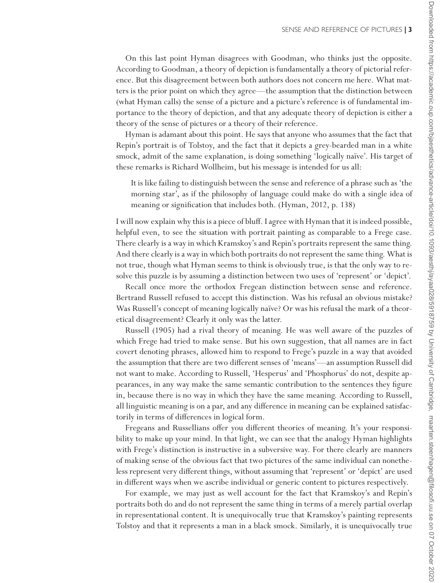On this last point Hyman disagrees with Goodman, who thinks just the opposite. According to Goodman, a theory of depiction is fundamentally a theory of pictorial reference. But this disagreement between both authors does not concern me here. What matters is the prior point on which they agree—the assumption that the distinction between (what Hyman calls) the sense of a picture and a picture's reference is of fundamental importance to the theory of depiction, and that any adequate theory of depiction is either a theory of the sense of pictures or a theory of their reference.

Hyman is adamant about this point. He says that anyone who assumes that the fact that Repin's portrait is of Tolstoy, and the fact that it depicts a grey-bearded man in a white smock, admit of the same explanation, is doing something 'logically naïve'. His target of these remarks is Richard Wollheim, but his message is intended for us all:

It is like failing to distinguish between the sense and reference of a phrase such as 'the morning star', as if the philosophy of language could make do with a single idea of meaning or signification that includes both. (Hyman, 2012, p. 138)

I will now explain why this is a piece of bluff. I agree with Hyman that it is indeed possible, helpful even, to see the situation with portrait painting as comparable to a Frege case. There clearly is a way in which Kramskoy's and Repin's portraits represent the same thing. And there clearly is a way in which both portraits do not represent the same thing. What is not true, though what Hyman seems to think is obviously true, is that the only way to resolve this puzzle is by assuming a distinction between two uses of 'represent' or 'depict'.

Recall once more the orthodox Fregean distinction between sense and reference. Bertrand Russell refused to accept this distinction. Was his refusal an obvious mistake? Was Russell's concept of meaning logically naïve? Or was his refusal the mark of a theoretical disagreement? Clearly it only was the latter.

Russell (1905) had a rival theory of meaning. He was well aware of the puzzles of which Frege had tried to make sense. But his own suggestion, that all names are in fact covert denoting phrases, allowed him to respond to Frege's puzzle in a way that avoided the assumption that there are two different senses of 'means'—an assumption Russell did not want to make. According to Russell, 'Hesperus' and 'Phosphorus' do not, despite appearances, in any way make the same semantic contribution to the sentences they figure in, because there is no way in which they have the same meaning. According to Russell, all linguistic meaning is on a par, and any difference in meaning can be explained satisfactorily in terms of differences in logical form.

Fregeans and Russellians offer you different theories of meaning. It's your responsibility to make up your mind. In that light, we can see that the analogy Hyman highlights with Frege's distinction is instructive in a subversive way. For there clearly are manners of making sense of the obvious fact that two pictures of the same individual can nonetheless represent very different things, without assuming that 'represent' or 'depict' are used in different ways when we ascribe individual or generic content to pictures respectively.

For example, we may just as well account for the fact that Kramskoy's and Repin's portraits both do and do not represent the same thing in terms of a merely partial overlap in representational content. It is unequivocally true that Kramskoy's painting represents Tolstoy and that it represents a man in a black smock. Similarly, it is unequivocally true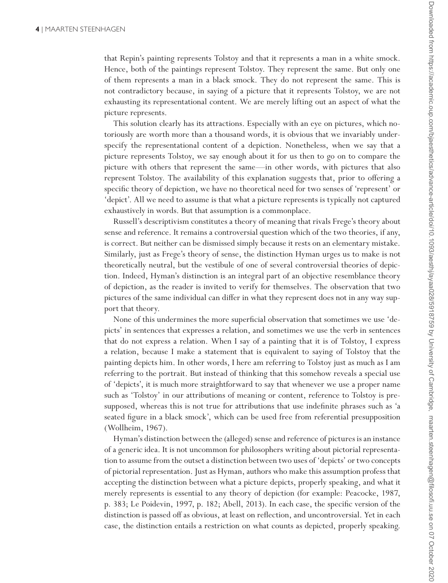that Repin's painting represents Tolstoy and that it represents a man in a white smock. Hence, both of the paintings represent Tolstoy. They represent the same. But only one of them represents a man in a black smock. They do not represent the same. This is not contradictory because, in saying of a picture that it represents Tolstoy, we are not exhausting its representational content. We are merely lifting out an aspect of what the picture represents.

This solution clearly has its attractions. Especially with an eye on pictures, which notoriously are worth more than a thousand words, it is obvious that we invariably underspecify the representational content of a depiction. Nonetheless, when we say that a picture represents Tolstoy, we say enough about it for us then to go on to compare the picture with others that represent the same—in other words, with pictures that also represent Tolstoy. The availability of this explanation suggests that, prior to offering a specific theory of depiction, we have no theoretical need for two senses of 'represent' or 'depict'. All we need to assume is that what a picture represents is typically not captured exhaustively in words. But that assumption is a commonplace.

Russell's descriptivism constitutes a theory of meaning that rivals Frege's theory about sense and reference. It remains a controversial question which of the two theories, if any, is correct. But neither can be dismissed simply because it rests on an elementary mistake. Similarly, just as Frege's theory of sense, the distinction Hyman urges us to make is not theoretically neutral, but the vestibule of one of several controversial theories of depiction. Indeed, Hyman's distinction is an integral part of an objective resemblance theory of depiction, as the reader is invited to verify for themselves. The observation that two pictures of the same individual can differ in what they represent does not in any way support that theory.

None of this undermines the more superficial observation that sometimes we use 'depicts' in sentences that expresses a relation, and sometimes we use the verb in sentences that do not express a relation. When I say of a painting that it is of Tolstoy, I express a relation, because I make a statement that is equivalent to saying of Tolstoy that the painting depicts him. In other words, I here am referring to Tolstoy just as much as I am referring to the portrait. But instead of thinking that this somehow reveals a special use of 'depicts', it is much more straightforward to say that whenever we use a proper name such as 'Tolstoy' in our attributions of meaning or content, reference to Tolstoy is presupposed, whereas this is not true for attributions that use indefinite phrases such as 'a seated figure in a black smock', which can be used free from referential presupposition (Wollheim, 1967).

Hyman's distinction between the (alleged) sense and reference of pictures is an instance of a generic idea. It is not uncommon for philosophers writing about pictorial representation to assume from the outset a distinction between two uses of 'depicts' or two concepts of pictorial representation. Just as Hyman, authors who make this assumption profess that accepting the distinction between what a picture depicts, properly speaking, and what it merely represents is essential to any theory of depiction (for example: Peacocke, 1987, p. 383; Le Poidevin, 1997, p. 182; Abell, 2013). In each case, the specific version of the distinction is passed off as obvious, at least on reflection, and uncontroversial. Yet in each case, the distinction entails a restriction on what counts as depicted, properly speaking.